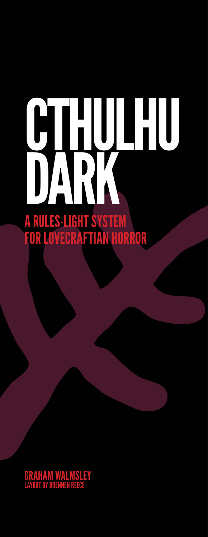# CTHULHU DARK A RULES-LIGHT SYSTEM For lovecraftian Horror

Graham Walmsley Layout by Brennen Reece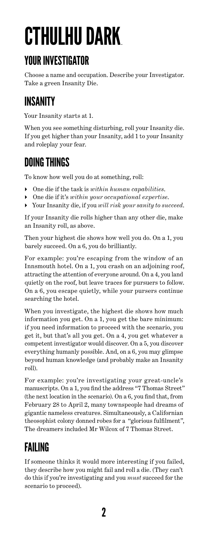# Cthulhu Dark.

#### Your Investigator

Choose a name and occupation. Describe your Investigator. Take a green Insanity Die.

#### Insanity

Your Insanity starts at 1.

When you see something disturbing, roll your Insanity die. If you get higher than your Insanity, add 1 to your Insanity and roleplay your fear.

#### Doing Things

To know how well you do at something, roll:

- One die if the task is *within human capabilities*.
- One die if it's *within your occupational expertise*.
- Your Insanity die, if you *will risk your sanity to succeed*.

If your Insanity die rolls higher than any other die, make an Insanity roll, as above.

Then your highest die shows how well you do. On a 1, you barely succeed. On a 6, you do brilliantly.

For example: you're escaping from the window of an Innsmouth hotel. On a 1, you crash on an adjoining roof, attracting the attention of everyone around. On a 4, you land quietly on the roof, but leave traces for pursuers to follow. On a 6, you escape quietly, while your pursers continue searching the hotel.

When you investigate, the highest die shows how much information you get. On a 1, you get the bare minimum: if you need information to proceed with the scenario, you get it, but that's all you get. On a 4, you get whatever a competent investigator would discover. On a 5, you discover everything humanly possible. And, on a 6, you may glimpse beyond human knowledge (and probably make an Insanity roll).

For example: you're investigating your great-uncle's manuscripts. On a 1, you find the address "7 Thomas Street" (the next location in the scenario). On a 6, you find that, from February 28 to April 2, many townspeople had dreams of gigantic nameless creatures. Simultaneously, a Californian theosophist colony donned robes for a "glorious fulfilment", The dreamers included Mr Wilcox of 7 Thomas Street.

# Failing

If someone thinks it would more interesting if you failed, they describe how you might fail and roll a die. (They can't do this if you're investigating and you *must* succeed for the scenario to proceed).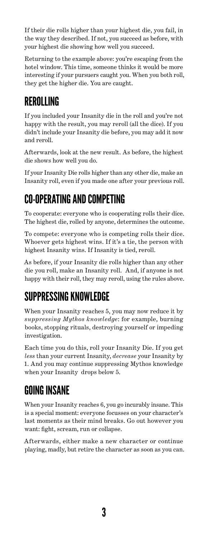If their die rolls higher than your highest die, you fail, in the way they described. If not, you succeed as before, with your highest die showing how well you succeed.

Returning to the example above: you're escaping from the hotel window. This time, someone thinks it would be more interesting if your pursuers caught you. When you both roll, they get the higher die. You are caught.

#### Rerolling

If you included your Insanity die in the roll and you're not happy with the result, you may reroll (all the dice). If you didn't include your Insanity die before, you may add it now and reroll.

Afterwards, look at the new result. As before, the highest die shows how well you do.

If your Insanity Die rolls higher than any other die, make an Insanity roll, even if you made one after your previous roll.

#### Co-operating andcompeting

To cooperate: everyone who is cooperating rolls their dice. The highest die, rolled by anyone, determines the outcome.

To compete: everyone who is competing rolls their dice. Whoever gets highest wins. If it's a tie, the person with highest Insanity wins. If Insanity is tied, reroll.

As before, if your Insanity die rolls higher than any other die you roll, make an Insanity roll. And, if anyone is not happy with their roll, they may reroll, using the rules above.

## Suppressing Knowledge

When your Insanity reaches 5, you may now reduce it by *suppressing Mythos knowledge*: for example, burning books, stopping rituals, destroying yourself or impeding investigation.

Each time you do this, roll your Insanity Die. If you get *less* than your current Insanity, *decrease* your Insanity by 1. And you may continue suppressing Mythos knowledge when your Insanity drops below 5.

#### Going INsane

When your Insanity reaches 6, you go incurably insane. This is a special moment: everyone focusses on your character's last moments as their mind breaks. Go out however you want: fight, scream, run or collapse.

Afterwards, either make a new character or continue playing, madly, but retire the character as soon as you can.